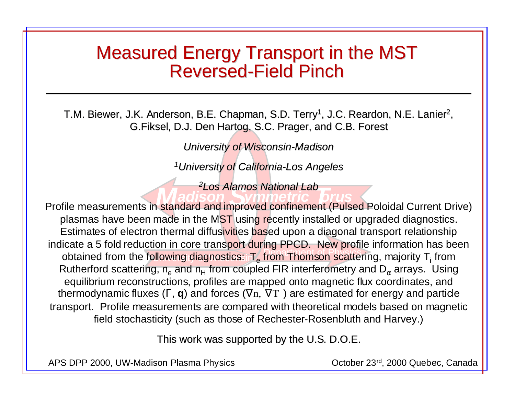#### Measured Energy Transport in the MST **Reversed-Field Pinch**

T.M. Biewer, J.K. Anderson, B.E. Chapman, S.D. Terry<sup>1</sup>, J.C. Reardon, N.E. Lanier<sup>2</sup>, G. Fiksel, D.J. Den Hartog, S.C. Prager, and C.B. Forest

*University of Wisconsin-Madison*

*1University of California-Los Angeles University of California-Los Angeles*

*2Los Alamos National Lab*

obtained from the following diagnostics: T<sub>e</sub> from Thomson scattering, majority T<sub>i</sub> from **Madison ymmetric brus** Profile measurements in standard and improved confinement (Pulsed Poloidal Current Drive) plasmas have been made in the MST using recently installed or upgraded diagnostics. Estimates of electron thermal diffusivities based upon a diagonal transport relationship indicate a 5 fold reduction in core transport during PPCD. New profile information has been Rutherford scattering,  $n_e$  and  $n_H$  from coupled FIR interferometry and  $D_\alpha$  arrays. Using equilibrium reconstructions, profiles are mapped onto magnetic flux coordinates, and thermodynamic fluxes (Γ, **q**) and forces (∇n, ∇T ) are estimated for energy and particle transport. Profile measurements are compared with theoretical models based on magnetic field stochasticity (such as those of Rechester-Rosenbluth and Harvey.)

This work was supported by the U.S. D.O.E.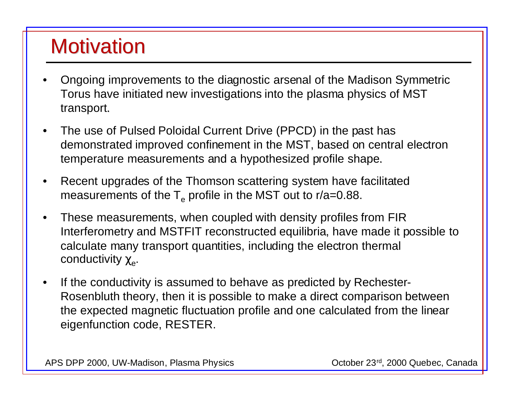# **Motivation**

- • Ongoing improvements to the diagnostic arsenal of the Madison Symmetric Torus have initiated new investigations into the plasma physics of MST transport.
- $\bullet$  The use of Pulsed Poloidal Current Drive (PPCD) in the past has demonstrated improved confinement in the MST, based on central electron temperature measurements and a hypothesized profile shape.
- • Recent upgrades of the Thomson scattering system have facilitated measurements of the  $T_e$  profile in the MST out to r/a=0.88.
- • These measurements, when coupled with density profiles from FIR Interferometry and MSTFIT reconstructed equilibria, have made it possible to calculate many transport quantities, including the electron thermal conductivity  $\chi_e$ .
- • If the conductivity is assumed to behave as predicted by Rechester-Rosenbluth theory, then it is possible to make a direct comparison between the expected magnetic fluctuation profile and one calculated from the linear eigenfunction code, RESTER.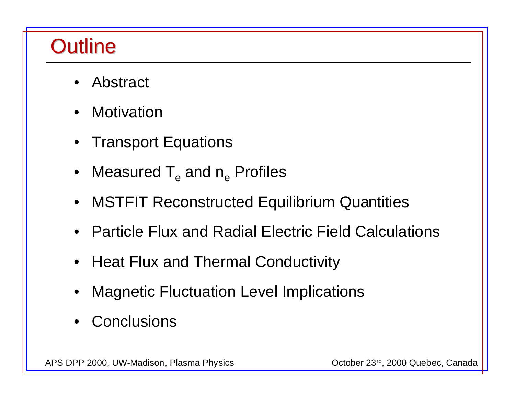## **Outline**

- •Abstract
- •**Motivation**
- Transport Equations
- $\bullet~$  Measured T $_{\rm e}$  and n $_{\rm e}$  Profiles
- MSTFIT Reconstructed Equilibrium Quantities
- Particle Flux and Radial Electric Field Calculations
- Heat Flux and Thermal Conductivity
- •Magnetic Fluctuation Level Implications
- Conclusions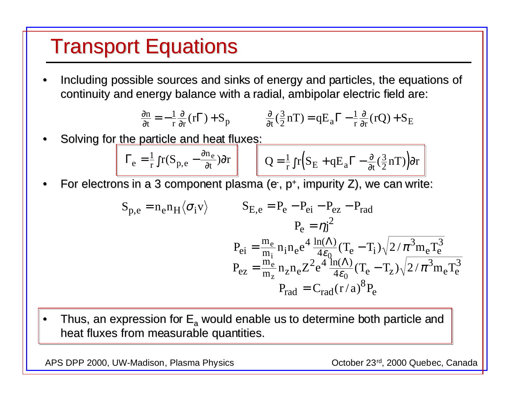### **Transport Equations**

•Including possible sources and sinks of energy and particles, the equations of continuity and energy balance with a radial, ambipolar electric field are:

$$
\frac{\partial n}{\partial t} = -\frac{1}{r} \frac{\partial}{\partial r} (r\Gamma) + S_p \qquad \frac{\partial}{\partial t} (\frac{3}{2} nT) = qE_a \Gamma - \frac{1}{r} \frac{\partial}{\partial r} (rQ) + S_E
$$

•Solving for the particle and heat fluxes:

$$
\Gamma_e = \frac{1}{r} \int r(S_{p,e} - \frac{\partial n_e}{\partial t}) dr \qquad Q = \frac{1}{r} \int r(S_E + qE_a \Gamma - \frac{\partial}{\partial t} (\frac{3}{2} nT)) dr
$$

•For electrons in a 3 component plasma (e-, p+, impurity Z), we can write:

$$
S_{p,e} = n_e n_H \langle \sigma_i v \rangle
$$
\n
$$
S_{E,e} = P_e - P_{ei} - P_{ez} - P_{rad}
$$
\n
$$
P_e = \eta j^2
$$
\n
$$
P_{ei} = \frac{m_e}{m_i} n_i n_e e^4 \frac{\ln(\Lambda)}{4\epsilon_0} (T_e - T_i) \sqrt{2/\pi^3 m_e T_e^3}
$$
\n
$$
P_{ez} = \frac{m_e}{m_z} n_z n_e Z^2 e^4 \frac{\ln(\Lambda)}{4\epsilon_0} (T_e - T_z) \sqrt{2/\pi^3 m_e T_e^3}
$$
\n
$$
P_{rad} = C_{rad} (r/a)^8 P_e
$$

•Thus, an expression for  $E_a$  would enable us to determine both particle and heat fluxes from measurable quantities.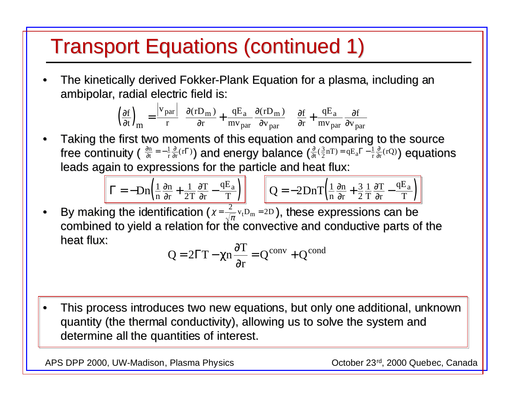### Transport Equations (continued 1) Transport Equations (continued 1)

•The kinetically derived Fokker-Plank Equation for a plasma, including an ambipolar, radial electric field is:

$$
\left(\frac{\partial f}{\partial t}\right)_{\text{m}} = \frac{|v_{\text{par}}|}{r} \left(\frac{\partial (rD_{\text{m}})}{\partial r} + \frac{qE_{\text{a}}}{mv_{\text{par}}}\frac{\partial (rD_{\text{m}})}{\partial v_{\text{par}}}\right) \left(\frac{\partial f}{\partial r} + \frac{qE_{\text{a}}}{mv_{\text{par}}}\frac{\partial f}{\partial v_{\text{par}}}\right)
$$

•Taking the first two moments of this equation and comparing to the source free continuity (  $\frac{\partial n}{\partial t}=-\frac{1}{r}\frac{\partial}{\partial r}(r\Gamma)$ ) and energy balance  $\left(\frac{\partial}{\partial t}(\frac{3}{2}nT)=qE_a\Gamma-\frac{1}{r}\frac{\partial}{\partial r}(rQ)\right)$  equations leads again to expressions for the particle and heat flux: ∂ ∂  $\frac{m}{n} = -\frac{1}{r} \frac{c}{\partial}$  $\frac{d\mathbf{r}}{dt} = -\frac{1}{r}\frac{\partial}{\partial r}(r\Gamma)$ ) and energy balance  $\left(\frac{\partial}{\partial t}(\frac{3}{2}nT) = qE_a\Gamma - \frac{1}{r}\frac{\partial}{\partial r}(rQ)\right)$ 

$$
\Gamma = -Dn\left(\frac{1}{n}\frac{\partial n}{\partial r} + \frac{1}{2T}\frac{\partial T}{\partial r} - \frac{qE_a}{T}\right)
$$

$$
\Gamma = -\mathcal{D}n\left(\frac{1}{n}\frac{\partial n}{\partial r} + \frac{1}{2T}\frac{\partial T}{\partial r} - \frac{qE_a}{T}\right)
$$
 
$$
Q = -2\mathcal{D}n\left(\frac{1}{n}\frac{\partial n}{\partial r} + \frac{3}{2}\frac{1}{T}\frac{\partial T}{\partial r} - \frac{qE_a}{T}\right)
$$

•• By making the identification ( $\chi$  =  $\frac{2}{\sqrt{\pi}}$  v<sub>t</sub>D<sub>m</sub> = 2D), these expressions can be combined to yield a relation for the convective and conductive parts of the heat flux:  $=\frac{2}{\sqrt{2}}v_{\rm t}D_{\rm m}=2D_{\rm t}$ 

$$
Q = 2\Gamma T - \chi n \frac{\partial T}{\partial r} = Q^{conv} + Q^{cond}
$$

•This process introduces two new equations, but only one additional, unknown quantity (the thermal conductivity), allowing us to solve the system and determine all the quantities of interest.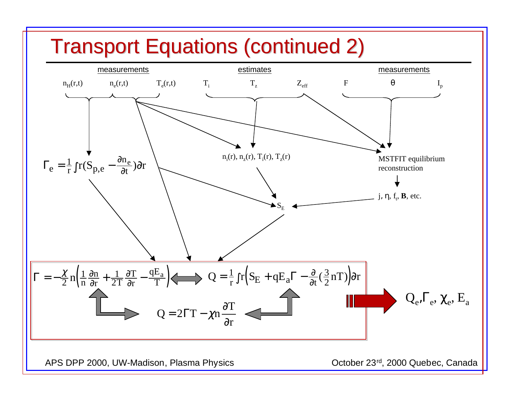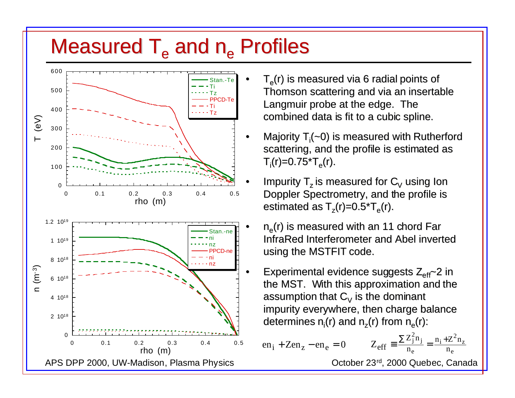### Measured  $T_e$  and  $n_e$  Profiles



- $T<sub>e</sub>(r)$  is measured via 6 radial points of Thomson scattering and via an insertable Langmuir probe at the edge. The combined data is fit to a cubic spline.
- Majority  $T_i(-0)$  is measured with Rutherford scattering, and the profile is estimated as  $T_i(r)=0.75\text{*}T_{\text{e}}(r).$
- Impurity  $T_z$  is measured for  $C_V$  using Ion Doppler Spectrometry, and the profile is estimated as  $T_z(r)=0.5\text{*}T_e(r)$ .
	- $n_e(r)$  is measured with an 11 chord Far InfraRed InfraRed Interferometer and Abel inverted using the MSTFIT code.
- Experimental evidence suggests  $Z_{\text{eff}}$  2 in the MST. With this approximation and the assumption that  $C_V$  is the dominant impurity everywhere, then charge balance determines  $n_i(r)$  and  $n_z(r)$  from  $n_e(r)$ :

en<sub>i</sub> + Zen<sub>z</sub> – en<sub>e</sub> = 0 
$$
Z_{eff} \equiv \frac{\sum Z_j^2 n_j}{n_e} = \frac{n_i + Z^2 n_z}{n_e}
$$
  
October 23<sup>rd</sup>. 2000 Quebec. Canac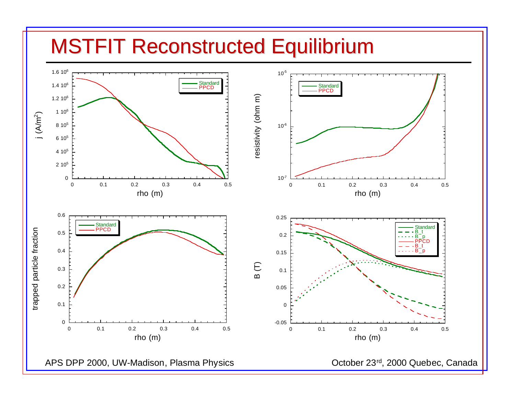#### **MSTFIT Reconstructed Equilibrium**

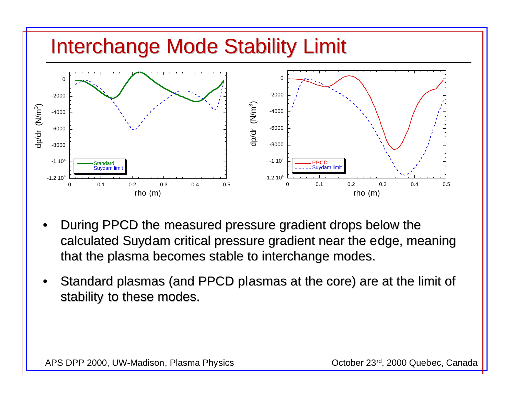

- •During PPCD the measured pressure gradient drops below the calculated Suydam critical pressure gradient near the edge, meaning that the plasma becomes stable to interchange modes.
- •Standard plasmas (and PPCD plasmas at the core) are at the limit of stability to these modes.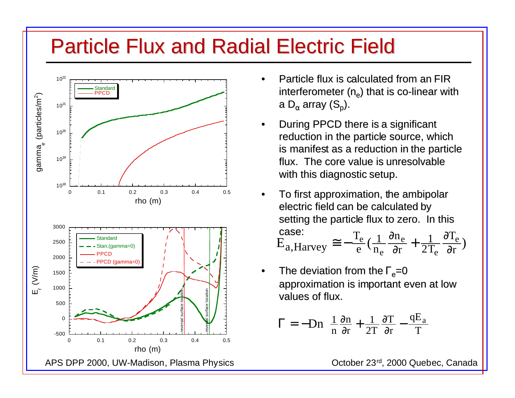### **Particle Flux and Radial Electric Field**



- • Particle flux is calculated from an FIR interferometer  $(n_a)$  that is co-linear with a D<sub> $\alpha$ </sub> array (S<sub>n</sub>).
- •During PPCD there is a significant reduction in the particle source, which is manifest as a reduction in the particle flux. The core value is unresolvable with this diagnostic setup.
- •To first approximation, the ambipolar electric field can be calculated by setting the particle flux to zero. In this case: case:<br>E<sub>a</sub>,Harvey  $\approx -\frac{T_e}{e}(\frac{1}{n_e}\frac{\partial n_e}{\partial r} + \frac{1}{2T_e}\frac{\partial T_e}{\partial r})$
- •The deviation from the  $\Gamma$ <sub>e</sub>=0 approximation is important even at low values of flux.

$$
\Gamma = -Dn\left(\frac{1}{n}\frac{\partial n}{\partial r} + \frac{1}{2T}\frac{\partial T}{\partial r} - \frac{qE_a}{T}\right)
$$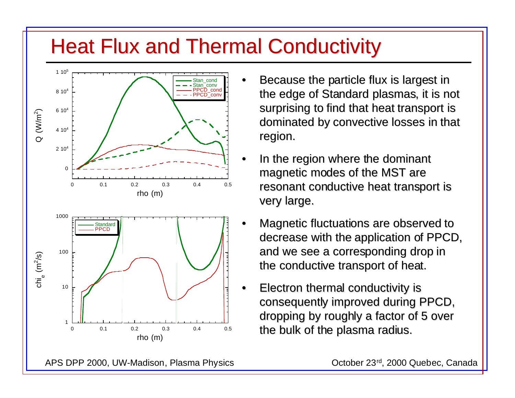### **Heat Flux and Thermal Conductivity**



- Because the particle flux is largest in the edge of Standard plasmas, it is not surprising to find that heat transport is dominated by convective losses in that region.
- In the region where the dominant magnetic modes of the MST are resonant conductive heat transport is very large.
- •Magnetic fluctuations are observed to decrease with the application of PPCD, and we see a corresponding drop in the conductive transport of heat.
- Electron thermal conductivity is Electron thermal conductivity is consequently improved during PPCD, dropping by roughly a factor of 5 over the bulk of the plasma radius.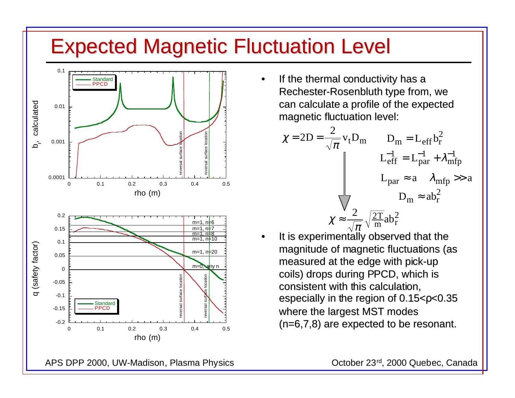### Expected Magnetic Fluctuation Level Expected Magnetic Fluctuation Level



• If the thermal conductivity has a Rechester-Rosenbluth type from, we can calculate a profile of the expected magnetic fluctuation level:

$$
\chi = 2D = \frac{2}{\sqrt{\pi}} v_t D_m \qquad D_m = L_{eff} b_r^2
$$

$$
L_{eff}^{-1} = L_{par}^{-1} + \lambda_{mfp}^{-1}
$$

$$
L_{par} \approx a \qquad \lambda_{mfp} \gg a
$$

$$
D_m \approx ab_r^2
$$

$$
\chi \approx \frac{2}{\sqrt{\pi}} \sqrt{\frac{2T}{m}} ab_r^2
$$

• It is experimentally observed that the magnitude of magnetic fluctuations (as measured at the edge with pick-up coils) drops during PPCD, which is consistent with this calculation, especially in the region of 0.15<ρ<0.35 where the largest MST modes  $(n=6,7,8)$  are expected to be resonant.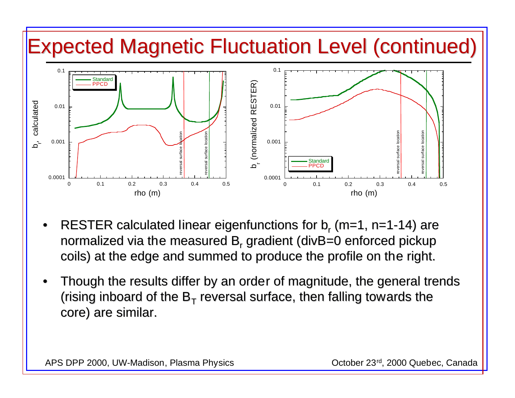

- •RESTER calculated linear eigenfunctions for  $b_r$  (m=1, n=1-14) are normalized via the measured B, gradient ( $divB=0$  enforced pickup coils) at the edge and summed to produce the profile on the right.
- •Though the results differ by an order of magnitude, the general trends (rising inboard of the  $B_T$  reversal surface, then falling towards the core) are similar.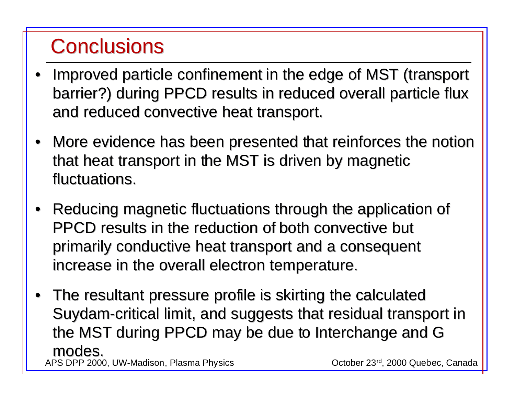## **Conclusions**

- •Improved particle confinement in the edge of MST (transport barrier?) during PPCD results in reduced overall particle flux and reduced convective heat transport.
- More evidence has been presented that reinforces the notion that heat transport in the MST is driven by magnetic fluctuations.
- •Reducing magnetic fluctuations through the application of PPCD results in the reduction of both convective but primarily conductive heat transport and a consequent increase in the overall electron temperature.
- APS DPP 2000, UW-Madison, Plasma Physics **Canada** Corober 23<sup>rd</sup>, 2000 Quebec, Canada  $\bullet~$  The resultant pressure profile is skirting the calculated Suydam-critical limit, and suggests that residual transport in the MST during PPCD may be due to Interchange and G modes.